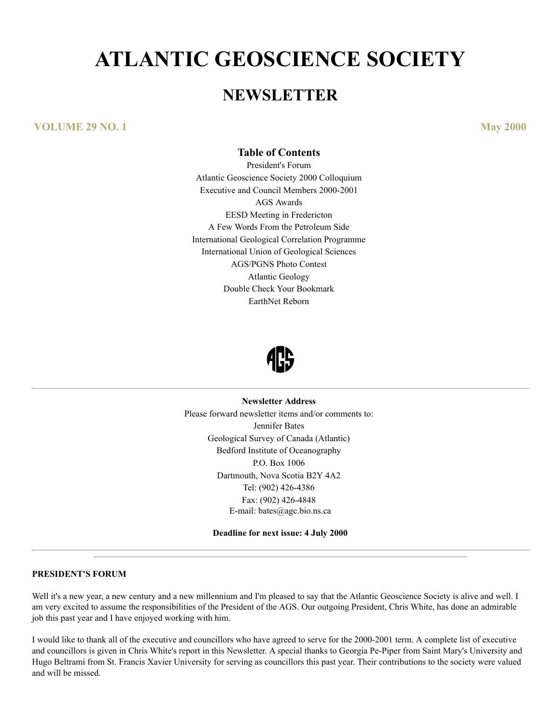# **ATLANTIC GEOSCIENCE SOCIETY**

# **NEWSLETTER**

# **VOLUME 29 NO. 1 May 2000**

# **Table of Contents**

President's Forum Atlantic Geoscience Society 2000 Colloquium Executive and Council Members 2000-2001 AGS Awards EESD Meeting in Fredericton A Few Words From the Petroleum Side International Geological Correlation Programme International Union of Geological Sciences AGS/PGNS Photo Contest Atlantic Geology Double Check Your Bookmark EarthNet Reborn



#### **Newsletter Address**

Please forward newsletter items and/or comments to: Jennifer Bates Geological Survey of Canada (Atlantic) Bedford Institute of Oceanography P.O. Box 1006 Dartmouth, Nova Scotia B2Y 4A2 Tel: (902) 426-4386 Fax: (902) 426-4848 E-mail: bates@agc.bio.ns.ca

**Deadline for next issue: 4 July 2000**

### **PRESIDENT'S FORUM**

Well it's a new year, a new century and a new millennium and I'm pleased to say that the Atlantic Geoscience Society is alive and well. I am very excited to assume the responsibilities of the President of the AGS. Our outgoing President, Chris White, has done an admirable job this past year and I have enjoyed working with him.

I would like to thank all of the executive and councillors who have agreed to serve for the 2000-2001 term. A complete list of executive and councillors is given in Chris White's report in this Newsletter. A special thanks to Georgia Pe-Piper from Saint Mary's University and Hugo Beltrami from St. Francis Xavier University for serving as councillors this past year. Their contributions to the society were valued and will be missed.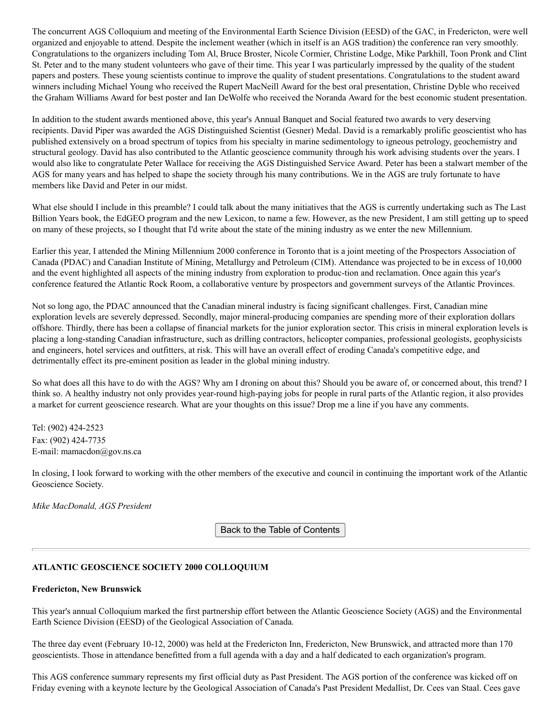The concurrent AGS Colloquium and meeting of the Environmental Earth Science Division (EESD) of the GAC, in Fredericton, were well organized and enjoyable to attend. Despite the inclement weather (which in itself is an AGS tradition) the conference ran very smoothly. Congratulations to the organizers including Tom Al, Bruce Broster, Nicole Cormier, Christine Lodge, Mike Parkhill, Toon Pronk and Clint St. Peter and to the many student volunteers who gave of their time. This year I was particularly impressed by the quality of the student papers and posters. These young scientists continue to improve the quality of student presentations. Congratulations to the student award winners including Michael Young who received the Rupert MacNeill Award for the best oral presentation, Christine Dyble who received the Graham Williams Award for best poster and Ian DeWolfe who received the Noranda Award for the best economic student presentation.

In addition to the student awards mentioned above, this year's Annual Banquet and Social featured two awards to very deserving recipients. David Piper was awarded the AGS Distinguished Scientist (Gesner) Medal. David is a remarkably prolific geoscientist who has published extensively on a broad spectrum of topics from his specialty in marine sedimentology to igneous petrology, geochemistry and structural geology. David has also contributed to the Atlantic geoscience community through his work advising students over the years. I would also like to congratulate Peter Wallace for receiving the AGS Distinguished Service Award. Peter has been a stalwart member of the AGS for many years and has helped to shape the society through his many contributions. We in the AGS are truly fortunate to have members like David and Peter in our midst.

What else should I include in this preamble? I could talk about the many initiatives that the AGS is currently undertaking such as The Last Billion Years book, the EdGEO program and the new Lexicon, to name a few. However, as the new President, I am still getting up to speed on many of these projects, so I thought that I'd write about the state of the mining industry as we enter the new Millennium.

Earlier this year, I attended the Mining Millennium 2000 conference in Toronto that is a joint meeting of the Prospectors Association of Canada (PDAC) and Canadian Institute of Mining, Metallurgy and Petroleum (CIM). Attendance was projected to be in excess of 10,000 and the event highlighted all aspects of the mining industry from exploration to produc-tion and reclamation. Once again this year's conference featured the Atlantic Rock Room, a collaborative venture by prospectors and government surveys of the Atlantic Provinces.

Not so long ago, the PDAC announced that the Canadian mineral industry is facing significant challenges. First, Canadian mine exploration levels are severely depressed. Secondly, major mineral-producing companies are spending more of their exploration dollars offshore. Thirdly, there has been a collapse of financial markets for the junior exploration sector. This crisis in mineral exploration levels is placing a long-standing Canadian infrastructure, such as drilling contractors, helicopter companies, professional geologists, geophysicists and engineers, hotel services and outfitters, at risk. This will have an overall effect of eroding Canada's competitive edge, and detrimentally effect its pre-eminent position as leader in the global mining industry.

So what does all this have to do with the AGS? Why am I droning on about this? Should you be aware of, or concerned about, this trend? I think so. A healthy industry not only provides year-round high-paying jobs for people in rural parts of the Atlantic region, it also provides a market for current geoscience research. What are your thoughts on this issue? Drop me a line if you have any comments.

Tel: (902) 424-2523 Fax: (902) 424-7735 E-mail: mamacdon@gov.ns.ca

In closing, I look forward to working with the other members of the executive and council in continuing the important work of the Atlantic Geoscience Society.

*Mike MacDonald, AGS President*

Back to the Table of Contents

# **ATLANTIC GEOSCIENCE SOCIETY 2000 COLLOQUIUM**

#### **Fredericton, New Brunswick**

This year's annual Colloquium marked the first partnership effort between the Atlantic Geoscience Society (AGS) and the Environmental Earth Science Division (EESD) of the Geological Association of Canada.

The three day event (February 10-12, 2000) was held at the Fredericton Inn, Fredericton, New Brunswick, and attracted more than 170 geoscientists. Those in attendance benefitted from a full agenda with a day and a half dedicated to each organization's program.

This AGS conference summary represents my first official duty as Past President. The AGS portion of the conference was kicked off on Friday evening with a keynote lecture by the Geological Association of Canada's Past President Medallist, Dr. Cees van Staal. Cees gave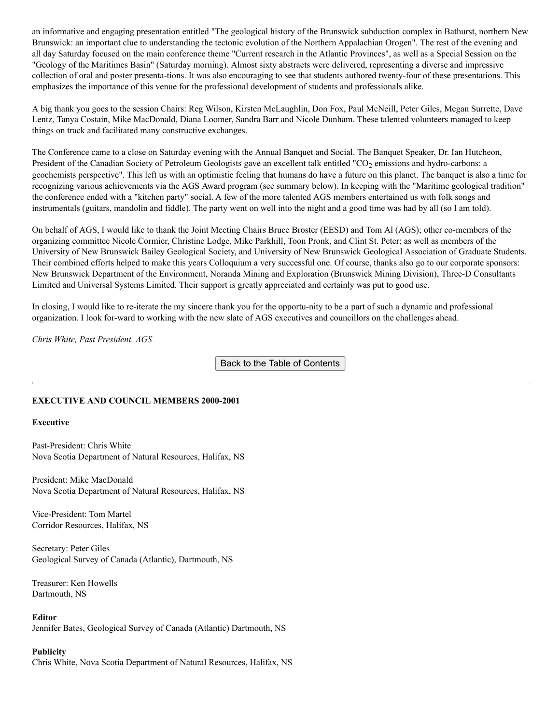an informative and engaging presentation entitled "The geological history of the Brunswick subduction complex in Bathurst, northern New Brunswick: an important clue to understanding the tectonic evolution of the Northern Appalachian Orogen". The rest of the evening and all day Saturday focused on the main conference theme "Current research in the Atlantic Provinces", as well as a Special Session on the "Geology of the Maritimes Basin" (Saturday morning). Almost sixty abstracts were delivered, representing a diverse and impressive collection of oral and poster presenta-tions. It was also encouraging to see that students authored twenty-four of these presentations. This emphasizes the importance of this venue for the professional development of students and professionals alike.

A big thank you goes to the session Chairs: Reg Wilson, Kirsten McLaughlin, Don Fox, Paul McNeill, Peter Giles, Megan Surrette, Dave Lentz, Tanya Costain, Mike MacDonald, Diana Loomer, Sandra Barr and Nicole Dunham. These talented volunteers managed to keep things on track and facilitated many constructive exchanges.

The Conference came to a close on Saturday evening with the Annual Banquet and Social. The Banquet Speaker, Dr. Ian Hutcheon, President of the Canadian Society of Petroleum Geologists gave an excellent talk entitled "CO<sub>2</sub> emissions and hydro-carbons: a geochemists perspective". This left us with an optimistic feeling that humans do have a future on this planet. The banquet is also a time for recognizing various achievements via the AGS Award program (see summary below). In keeping with the "Maritime geological tradition" the conference ended with a "kitchen party" social. A few of the more talented AGS members entertained us with folk songs and instrumentals (guitars, mandolin and fiddle). The party went on well into the night and a good time was had by all (so I am told).

On behalf of AGS, I would like to thank the Joint Meeting Chairs Bruce Broster (EESD) and Tom Al (AGS); other co-members of the organizing committee Nicole Cormier, Christine Lodge, Mike Parkhill, Toon Pronk, and Clint St. Peter; as well as members of the University of New Brunswick Bailey Geological Society, and University of New Brunswick Geological Association of Graduate Students. Their combined efforts helped to make this years Colloquium a very successful one. Of course, thanks also go to our corporate sponsors: New Brunswick Department of the Environment, Noranda Mining and Exploration (Brunswick Mining Division), Three-D Consultants Limited and Universal Systems Limited. Their support is greatly appreciated and certainly was put to good use.

In closing, I would like to re-iterate the my sincere thank you for the opportu-nity to be a part of such a dynamic and professional organization. I look for-ward to working with the new slate of AGS executives and councillors on the challenges ahead.

*Chris White, Past President, AGS*

Back to the Table of Contents

# **EXECUTIVE AND COUNCIL MEMBERS 2000-2001**

#### **Executive**

Past-President: Chris White Nova Scotia Department of Natural Resources, Halifax, NS

President: Mike MacDonald Nova Scotia Department of Natural Resources, Halifax, NS

Vice-President: Tom Martel Corridor Resources, Halifax, NS

Secretary: Peter Giles Geological Survey of Canada (Atlantic), Dartmouth, NS

Treasurer: Ken Howells Dartmouth, NS

#### **Editor**

Jennifer Bates, Geological Survey of Canada (Atlantic) Dartmouth, NS

#### **Publicity**

Chris White, Nova Scotia Department of Natural Resources, Halifax, NS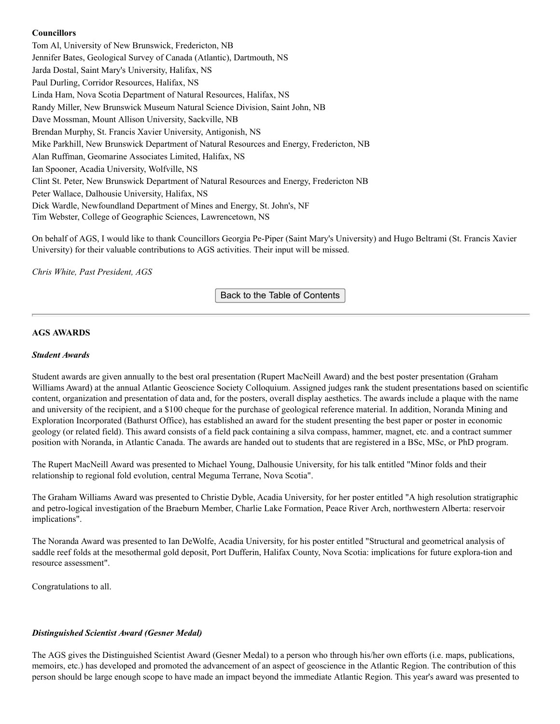# **Councillors**

Tom Al, University of New Brunswick, Fredericton, NB Jennifer Bates, Geological Survey of Canada (Atlantic), Dartmouth, NS Jarda Dostal, Saint Mary's University, Halifax, NS Paul Durling, Corridor Resources, Halifax, NS Linda Ham, Nova Scotia Department of Natural Resources, Halifax, NS Randy Miller, New Brunswick Museum Natural Science Division, Saint John, NB Dave Mossman, Mount Allison University, Sackville, NB Brendan Murphy, St. Francis Xavier University, Antigonish, NS Mike Parkhill, New Brunswick Department of Natural Resources and Energy, Fredericton, NB Alan Ruffman, Geomarine Associates Limited, Halifax, NS Ian Spooner, Acadia University, Wolfville, NS Clint St. Peter, New Brunswick Department of Natural Resources and Energy, Fredericton NB Peter Wallace, Dalhousie University, Halifax, NS Dick Wardle, Newfoundland Department of Mines and Energy, St. John's, NF Tim Webster, College of Geographic Sciences, Lawrencetown, NS

On behalf of AGS, I would like to thank Councillors Georgia Pe-Piper (Saint Mary's University) and Hugo Beltrami (St. Francis Xavier University) for their valuable contributions to AGS activities. Their input will be missed.

*Chris White, Past President, AGS*

Back to the Table of Contents

#### **AGS AWARDS**

#### *Student Awards*

Student awards are given annually to the best oral presentation (Rupert MacNeill Award) and the best poster presentation (Graham Williams Award) at the annual Atlantic Geoscience Society Colloquium. Assigned judges rank the student presentations based on scientific content, organization and presentation of data and, for the posters, overall display aesthetics. The awards include a plaque with the name and university of the recipient, and a \$100 cheque for the purchase of geological reference material. In addition, Noranda Mining and Exploration Incorporated (Bathurst Office), has established an award for the student presenting the best paper or poster in economic geology (or related field). This award consists of a field pack containing a silva compass, hammer, magnet, etc. and a contract summer position with Noranda, in Atlantic Canada. The awards are handed out to students that are registered in a BSc, MSc, or PhD program.

The Rupert MacNeill Award was presented to Michael Young, Dalhousie University, for his talk entitled "Minor folds and their relationship to regional fold evolution, central Meguma Terrane, Nova Scotia".

The Graham Williams Award was presented to Christie Dyble, Acadia University, for her poster entitled "A high resolution stratigraphic and petro-logical investigation of the Braeburn Member, Charlie Lake Formation, Peace River Arch, northwestern Alberta: reservoir implications".

The Noranda Award was presented to Ian DeWolfe, Acadia University, for his poster entitled "Structural and geometrical analysis of saddle reef folds at the mesothermal gold deposit, Port Dufferin, Halifax County, Nova Scotia: implications for future explora-tion and resource assessment".

Congratulations to all.

#### *Distinguished Scientist Award (Gesner Medal)*

The AGS gives the Distinguished Scientist Award (Gesner Medal) to a person who through his/her own efforts (i.e. maps, publications, memoirs, etc.) has developed and promoted the advancement of an aspect of geoscience in the Atlantic Region. The contribution of this person should be large enough scope to have made an impact beyond the immediate Atlantic Region. This year's award was presented to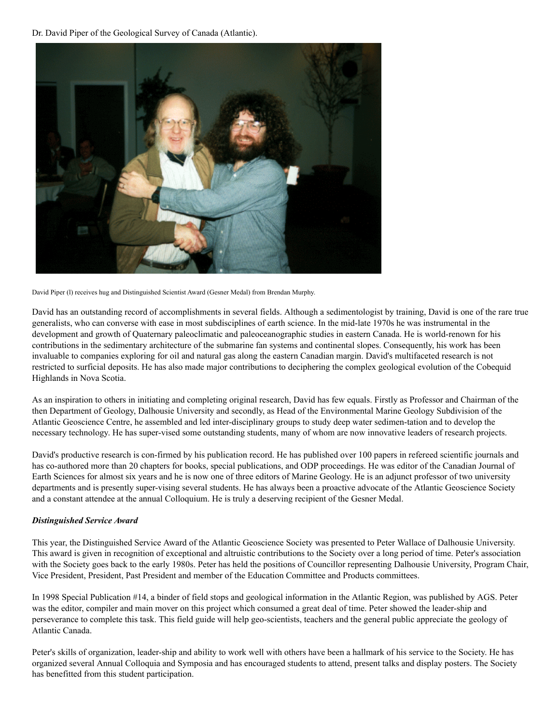Dr. David Piper of the Geological Survey of Canada (Atlantic).



David Piper (l) receives hug and Distinguished Scientist Award (Gesner Medal) from Brendan Murphy.

David has an outstanding record of accomplishments in several fields. Although a sedimentologist by training, David is one of the rare true generalists, who can converse with ease in most subdisciplines of earth science. In the mid-late 1970s he was instrumental in the development and growth of Quaternary paleoclimatic and paleoceanographic studies in eastern Canada. He is world-renown for his contributions in the sedimentary architecture of the submarine fan systems and continental slopes. Consequently, his work has been invaluable to companies exploring for oil and natural gas along the eastern Canadian margin. David's multifaceted research is not restricted to surficial deposits. He has also made major contributions to deciphering the complex geological evolution of the Cobequid Highlands in Nova Scotia.

As an inspiration to others in initiating and completing original research, David has few equals. Firstly as Professor and Chairman of the then Department of Geology, Dalhousie University and secondly, as Head of the Environmental Marine Geology Subdivision of the Atlantic Geoscience Centre, he assembled and led inter-disciplinary groups to study deep water sedimen-tation and to develop the necessary technology. He has super-vised some outstanding students, many of whom are now innovative leaders of research projects.

David's productive research is con-firmed by his publication record. He has published over 100 papers in refereed scientific journals and has co-authored more than 20 chapters for books, special publications, and ODP proceedings. He was editor of the Canadian Journal of Earth Sciences for almost six years and he is now one of three editors of Marine Geology. He is an adjunct professor of two university departments and is presently super-vising several students. He has always been a proactive advocate of the Atlantic Geoscience Society and a constant attendee at the annual Colloquium. He is truly a deserving recipient of the Gesner Medal.

# *Distinguished Service Award*

This year, the Distinguished Service Award of the Atlantic Geoscience Society was presented to Peter Wallace of Dalhousie University. This award is given in recognition of exceptional and altruistic contributions to the Society over a long period of time. Peter's association with the Society goes back to the early 1980s. Peter has held the positions of Councillor representing Dalhousie University, Program Chair, Vice President, President, Past President and member of the Education Committee and Products committees.

In 1998 Special Publication #14, a binder of field stops and geological information in the Atlantic Region, was published by AGS. Peter was the editor, compiler and main mover on this project which consumed a great deal of time. Peter showed the leader-ship and perseverance to complete this task. This field guide will help geo-scientists, teachers and the general public appreciate the geology of Atlantic Canada.

Peter's skills of organization, leader-ship and ability to work well with others have been a hallmark of his service to the Society. He has organized several Annual Colloquia and Symposia and has encouraged students to attend, present talks and display posters. The Society has benefitted from this student participation.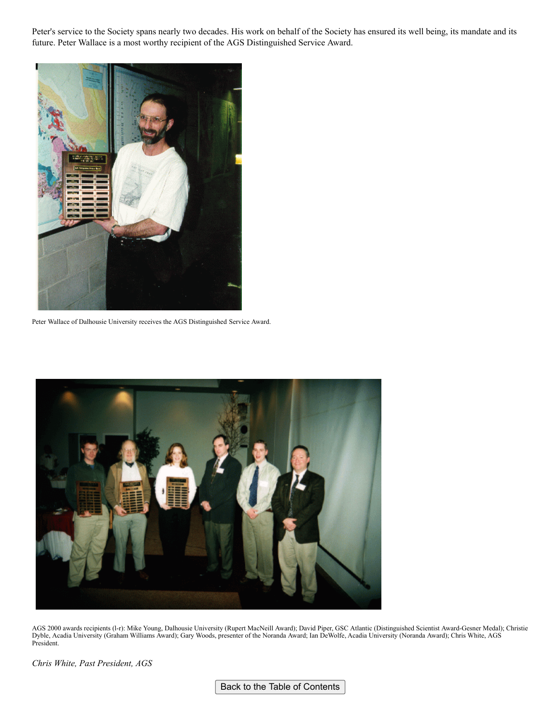Peter's service to the Society spans nearly two decades. His work on behalf of the Society has ensured its well being, its mandate and its future. Peter Wallace is a most worthy recipient of the AGS Distinguished Service Award.



Peter Wallace of Dalhousie University receives the AGS Distinguished Service Award.



AGS 2000 awards recipients (l-r): Mike Young, Dalhousie University (Rupert MacNeill Award); David Piper, GSC Atlantic (Distinguished Scientist Award-Gesner Medal); Christie Dyble, Acadia University (Graham Williams Award); Gary Woods, presenter of the Noranda Award; Ian DeWolfe, Acadia University (Noranda Award); Chris White, AGS President.

*Chris White, Past President, AGS*

Back to the Table of Contents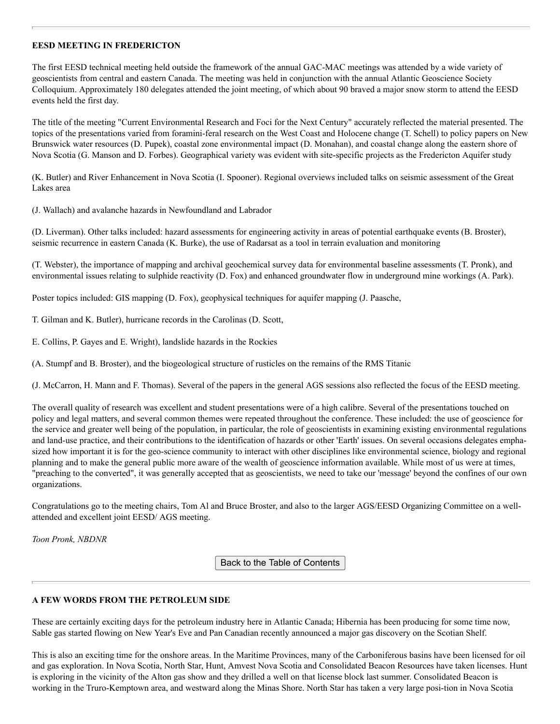### **EESD MEETING IN FREDERICTON**

The first EESD technical meeting held outside the framework of the annual GAC-MAC meetings was attended by a wide variety of geoscientists from central and eastern Canada. The meeting was held in conjunction with the annual Atlantic Geoscience Society Colloquium. Approximately 180 delegates attended the joint meeting, of which about 90 braved a major snow storm to attend the EESD events held the first day.

The title of the meeting "Current Environmental Research and Foci for the Next Century" accurately reflected the material presented. The topics of the presentations varied from foramini-feral research on the West Coast and Holocene change (T. Schell) to policy papers on New Brunswick water resources (D. Pupek), coastal zone environmental impact (D. Monahan), and coastal change along the eastern shore of Nova Scotia (G. Manson and D. Forbes). Geographical variety was evident with site-specific projects as the Fredericton Aquifer study

(K. Butler) and River Enhancement in Nova Scotia (I. Spooner). Regional overviews included talks on seismic assessment of the Great Lakes area

(J. Wallach) and avalanche hazards in Newfoundland and Labrador

(D. Liverman). Other talks included: hazard assessments for engineering activity in areas of potential earthquake events (B. Broster), seismic recurrence in eastern Canada (K. Burke), the use of Radarsat as a tool in terrain evaluation and monitoring

(T. Webster), the importance of mapping and archival geochemical survey data for environmental baseline assessments (T. Pronk), and environmental issues relating to sulphide reactivity (D. Fox) and enhanced groundwater flow in underground mine workings (A. Park).

Poster topics included: GIS mapping (D. Fox), geophysical techniques for aquifer mapping (J. Paasche,

T. Gilman and K. Butler), hurricane records in the Carolinas (D. Scott,

E. Collins, P. Gayes and E. Wright), landslide hazards in the Rockies

(A. Stumpf and B. Broster), and the biogeological structure of rusticles on the remains of the RMS Titanic

(J. McCarron, H. Mann and F. Thomas). Several of the papers in the general AGS sessions also reflected the focus of the EESD meeting.

The overall quality of research was excellent and student presentations were of a high calibre. Several of the presentations touched on policy and legal matters, and several common themes were repeated throughout the conference. These included: the use of geoscience for the service and greater well being of the population, in particular, the role of geoscientists in examining existing environmental regulations and land-use practice, and their contributions to the identification of hazards or other 'Earth' issues. On several occasions delegates emphasized how important it is for the geo-science community to interact with other disciplines like environmental science, biology and regional planning and to make the general public more aware of the wealth of geoscience information available. While most of us were at times, "preaching to the converted", it was generally accepted that as geoscientists, we need to take our 'message' beyond the confines of our own organizations.

Congratulations go to the meeting chairs, Tom Al and Bruce Broster, and also to the larger AGS/EESD Organizing Committee on a wellattended and excellent joint EESD/ AGS meeting.

*Toon Pronk, NBDNR*

Back to the Table of Contents

# **A FEW WORDS FROM THE PETROLEUM SIDE**

These are certainly exciting days for the petroleum industry here in Atlantic Canada; Hibernia has been producing for some time now, Sable gas started flowing on New Year's Eve and Pan Canadian recently announced a major gas discovery on the Scotian Shelf.

This is also an exciting time for the onshore areas. In the Maritime Provinces, many of the Carboniferous basins have been licensed for oil and gas exploration. In Nova Scotia, North Star, Hunt, Amvest Nova Scotia and Consolidated Beacon Resources have taken licenses. Hunt is exploring in the vicinity of the Alton gas show and they drilled a well on that license block last summer. Consolidated Beacon is working in the Truro-Kemptown area, and westward along the Minas Shore. North Star has taken a very large posi-tion in Nova Scotia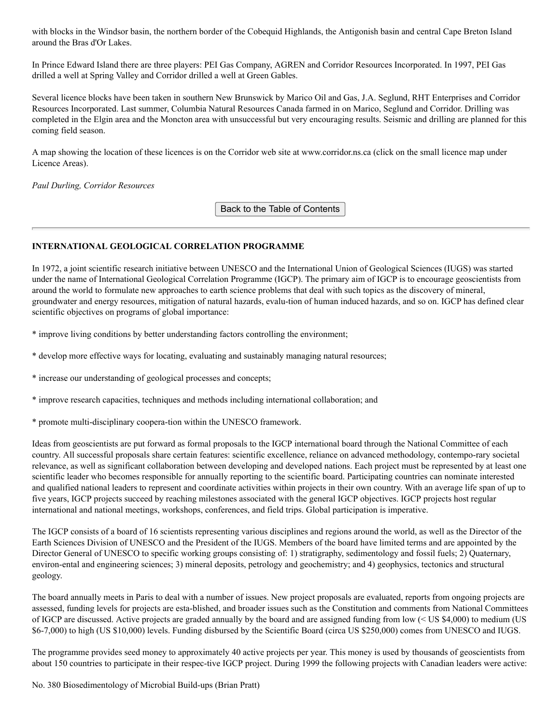with blocks in the Windsor basin, the northern border of the Cobequid Highlands, the Antigonish basin and central Cape Breton Island around the Bras d'Or Lakes.

In Prince Edward Island there are three players: PEI Gas Company, AGREN and Corridor Resources Incorporated. In 1997, PEI Gas drilled a well at Spring Valley and Corridor drilled a well at Green Gables.

Several licence blocks have been taken in southern New Brunswick by Marico Oil and Gas, J.A. Seglund, RHT Enterprises and Corridor Resources Incorporated. Last summer, Columbia Natural Resources Canada farmed in on Marico, Seglund and Corridor. Drilling was completed in the Elgin area and the Moncton area with unsuccessful but very encouraging results. Seismic and drilling are planned for this coming field season.

A map showing the location of these licences is on the Corridor web site at www.corridor.ns.ca (click on the small licence map under Licence Areas).

#### *Paul Durling, Corridor Resources*

Back to the Table of Contents

# **INTERNATIONAL GEOLOGICAL CORRELATION PROGRAMME**

In 1972, a joint scientific research initiative between UNESCO and the International Union of Geological Sciences (IUGS) was started under the name of International Geological Correlation Programme (IGCP). The primary aim of IGCP is to encourage geoscientists from around the world to formulate new approaches to earth science problems that deal with such topics as the discovery of mineral, groundwater and energy resources, mitigation of natural hazards, evalu-tion of human induced hazards, and so on. IGCP has defined clear scientific objectives on programs of global importance:

\* improve living conditions by better understanding factors controlling the environment;

- \* develop more effective ways for locating, evaluating and sustainably managing natural resources;
- \* increase our understanding of geological processes and concepts;
- \* improve research capacities, techniques and methods including international collaboration; and
- \* promote multi-disciplinary coopera-tion within the UNESCO framework.

Ideas from geoscientists are put forward as formal proposals to the IGCP international board through the National Committee of each country. All successful proposals share certain features: scientific excellence, reliance on advanced methodology, contempo-rary societal relevance, as well as significant collaboration between developing and developed nations. Each project must be represented by at least one scientific leader who becomes responsible for annually reporting to the scientific board. Participating countries can nominate interested and qualified national leaders to represent and coordinate activities within projects in their own country. With an average life span of up to five years, IGCP projects succeed by reaching milestones associated with the general IGCP objectives. IGCP projects host regular international and national meetings, workshops, conferences, and field trips. Global participation is imperative.

The IGCP consists of a board of 16 scientists representing various disciplines and regions around the world, as well as the Director of the Earth Sciences Division of UNESCO and the President of the IUGS. Members of the board have limited terms and are appointed by the Director General of UNESCO to specific working groups consisting of: 1) stratigraphy, sedimentology and fossil fuels; 2) Quaternary, environ-ental and engineering sciences; 3) mineral deposits, petrology and geochemistry; and 4) geophysics, tectonics and structural geology.

The board annually meets in Paris to deal with a number of issues. New project proposals are evaluated, reports from ongoing projects are assessed, funding levels for projects are esta-blished, and broader issues such as the Constitution and comments from National Committees of IGCP are discussed. Active projects are graded annually by the board and are assigned funding from low (< US \$4,000) to medium (US \$6-7,000) to high (US \$10,000) levels. Funding disbursed by the Scientific Board (circa US \$250,000) comes from UNESCO and IUGS.

The programme provides seed money to approximately 40 active projects per year. This money is used by thousands of geoscientists from about 150 countries to participate in their respec-tive IGCP project. During 1999 the following projects with Canadian leaders were active: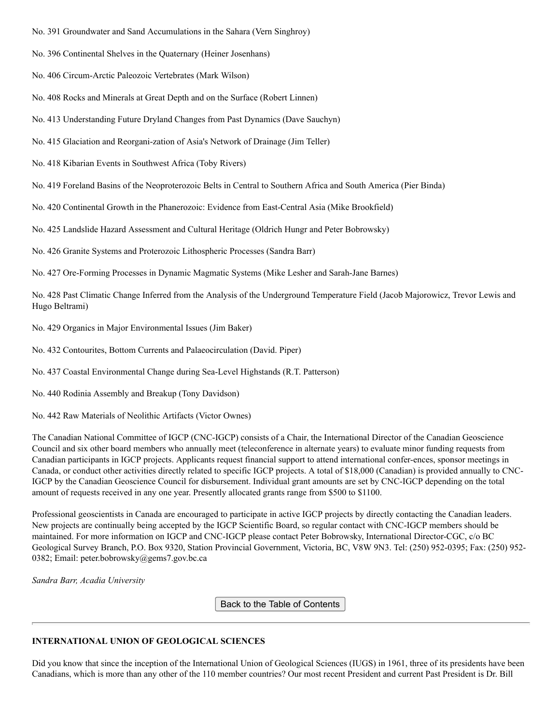- No. 391 Groundwater and Sand Accumulations in the Sahara (Vern Singhroy)
- No. 396 Continental Shelves in the Quaternary (Heiner Josenhans)
- No. 406 Circum-Arctic Paleozoic Vertebrates (Mark Wilson)
- No. 408 Rocks and Minerals at Great Depth and on the Surface (Robert Linnen)
- No. 413 Understanding Future Dryland Changes from Past Dynamics (Dave Sauchyn)
- No. 415 Glaciation and Reorgani-zation of Asia's Network of Drainage (Jim Teller)
- No. 418 Kibarian Events in Southwest Africa (Toby Rivers)
- No. 419 Foreland Basins of the Neoproterozoic Belts in Central to Southern Africa and South America (Pier Binda)
- No. 420 Continental Growth in the Phanerozoic: Evidence from East-Central Asia (Mike Brookfield)
- No. 425 Landslide Hazard Assessment and Cultural Heritage (Oldrich Hungr and Peter Bobrowsky)
- No. 426 Granite Systems and Proterozoic Lithospheric Processes (Sandra Barr)
- No. 427 Ore-Forming Processes in Dynamic Magmatic Systems (Mike Lesher and Sarah-Jane Barnes)

No. 428 Past Climatic Change Inferred from the Analysis of the Underground Temperature Field (Jacob Majorowicz, Trevor Lewis and Hugo Beltrami)

- No. 429 Organics in Major Environmental Issues (Jim Baker)
- No. 432 Contourites, Bottom Currents and Palaeocirculation (David. Piper)
- No. 437 Coastal Environmental Change during Sea-Level Highstands (R.T. Patterson)
- No. 440 Rodinia Assembly and Breakup (Tony Davidson)
- No. 442 Raw Materials of Neolithic Artifacts (Victor Ownes)

The Canadian National Committee of IGCP (CNC-IGCP) consists of a Chair, the International Director of the Canadian Geoscience Council and six other board members who annually meet (teleconference in alternate years) to evaluate minor funding requests from Canadian participants in IGCP projects. Applicants request financial support to attend international confer-ences, sponsor meetings in Canada, or conduct other activities directly related to specific IGCP projects. A total of \$18,000 (Canadian) is provided annually to CNC-IGCP by the Canadian Geoscience Council for disbursement. Individual grant amounts are set by CNC-IGCP depending on the total amount of requests received in any one year. Presently allocated grants range from \$500 to \$1100.

Professional geoscientists in Canada are encouraged to participate in active IGCP projects by directly contacting the Canadian leaders. New projects are continually being accepted by the IGCP Scientific Board, so regular contact with CNC-IGCP members should be maintained. For more information on IGCP and CNC-IGCP please contact Peter Bobrowsky, International Director-CGC, c/o BC Geological Survey Branch, P.O. Box 9320, Station Provincial Government, Victoria, BC, V8W 9N3. Tel: (250) 952-0395; Fax: (250) 952- 0382; Email: peter.bobrowsky@gems7.gov.bc.ca

*Sandra Barr, Acadia University*

Back to the Table of Contents

# **INTERNATIONAL UNION OF GEOLOGICAL SCIENCES**

Did you know that since the inception of the International Union of Geological Sciences (IUGS) in 1961, three of its presidents have been Canadians, which is more than any other of the 110 member countries? Our most recent President and current Past President is Dr. Bill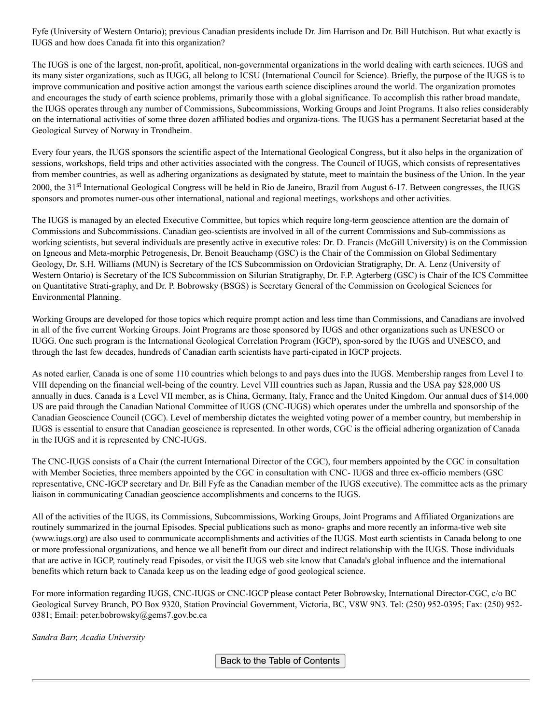Fyfe (University of Western Ontario); previous Canadian presidents include Dr. Jim Harrison and Dr. Bill Hutchison. But what exactly is IUGS and how does Canada fit into this organization?

The IUGS is one of the largest, non-profit, apolitical, non-governmental organizations in the world dealing with earth sciences. IUGS and its many sister organizations, such as IUGG, all belong to ICSU (International Council for Science). Briefly, the purpose of the IUGS is to improve communication and positive action amongst the various earth science disciplines around the world. The organization promotes and encourages the study of earth science problems, primarily those with a global significance. To accomplish this rather broad mandate, the IUGS operates through any number of Commissions, Subcommissions, Working Groups and Joint Programs. It also relies considerably on the international activities of some three dozen affiliated bodies and organiza-tions. The IUGS has a permanent Secretariat based at the Geological Survey of Norway in Trondheim.

Every four years, the IUGS sponsors the scientific aspect of the International Geological Congress, but it also helps in the organization of sessions, workshops, field trips and other activities associated with the congress. The Council of IUGS, which consists of representatives from member countries, as well as adhering organizations as designated by statute, meet to maintain the business of the Union. In the year 2000, the 31<sup>st</sup> International Geological Congress will be held in Rio de Janeiro, Brazil from August 6-17. Between congresses, the IUGS sponsors and promotes numer-ous other international, national and regional meetings, workshops and other activities.

The IUGS is managed by an elected Executive Committee, but topics which require long-term geoscience attention are the domain of Commissions and Subcommissions. Canadian geo-scientists are involved in all of the current Commissions and Sub-commissions as working scientists, but several individuals are presently active in executive roles: Dr. D. Francis (McGill University) is on the Commission on Igneous and Meta-morphic Petrogenesis, Dr. Benoit Beauchamp (GSC) is the Chair of the Commission on Global Sedimentary Geology, Dr. S.H. Williams (MUN) is Secretary of the ICS Subcommission on Ordovician Stratigraphy, Dr. A. Lenz (University of Western Ontario) is Secretary of the ICS Subcommission on Silurian Stratigraphy, Dr. F.P. Agterberg (GSC) is Chair of the ICS Committee on Quantitative Strati-graphy, and Dr. P. Bobrowsky (BSGS) is Secretary General of the Commission on Geological Sciences for Environmental Planning.

Working Groups are developed for those topics which require prompt action and less time than Commissions, and Canadians are involved in all of the five current Working Groups. Joint Programs are those sponsored by IUGS and other organizations such as UNESCO or IUGG. One such program is the International Geological Correlation Program (IGCP), spon-sored by the IUGS and UNESCO, and through the last few decades, hundreds of Canadian earth scientists have parti-cipated in IGCP projects.

As noted earlier, Canada is one of some 110 countries which belongs to and pays dues into the IUGS. Membership ranges from Level I to VIII depending on the financial well-being of the country. Level VIII countries such as Japan, Russia and the USA pay \$28,000 US annually in dues. Canada is a Level VII member, as is China, Germany, Italy, France and the United Kingdom. Our annual dues of \$14,000 US are paid through the Canadian National Committee of IUGS (CNC-IUGS) which operates under the umbrella and sponsorship of the Canadian Geoscience Council (CGC). Level of membership dictates the weighted voting power of a member country, but membership in IUGS is essential to ensure that Canadian geoscience is represented. In other words, CGC is the official adhering organization of Canada in the IUGS and it is represented by CNC-IUGS.

The CNC-IUGS consists of a Chair (the current International Director of the CGC), four members appointed by the CGC in consultation with Member Societies, three members appointed by the CGC in consultation with CNC- IUGS and three ex-officio members (GSC representative, CNC-IGCP secretary and Dr. Bill Fyfe as the Canadian member of the IUGS executive). The committee acts as the primary liaison in communicating Canadian geoscience accomplishments and concerns to the IUGS.

All of the activities of the IUGS, its Commissions, Subcommissions, Working Groups, Joint Programs and Affiliated Organizations are routinely summarized in the journal Episodes. Special publications such as mono- graphs and more recently an informa-tive web site (www.iugs.org) are also used to communicate accomplishments and activities of the IUGS. Most earth scientists in Canada belong to one or more professional organizations, and hence we all benefit from our direct and indirect relationship with the IUGS. Those individuals that are active in IGCP, routinely read Episodes, or visit the IUGS web site know that Canada's global influence and the international benefits which return back to Canada keep us on the leading edge of good geological science.

For more information regarding IUGS, CNC-IUGS or CNC-IGCP please contact Peter Bobrowsky, International Director-CGC, c/o BC Geological Survey Branch, PO Box 9320, Station Provincial Government, Victoria, BC, V8W 9N3. Tel: (250) 952-0395; Fax: (250) 952- 0381; Email: peter.bobrowsky@gems7.gov.bc.ca

*Sandra Barr, Acadia University*

Back to the Table of Contents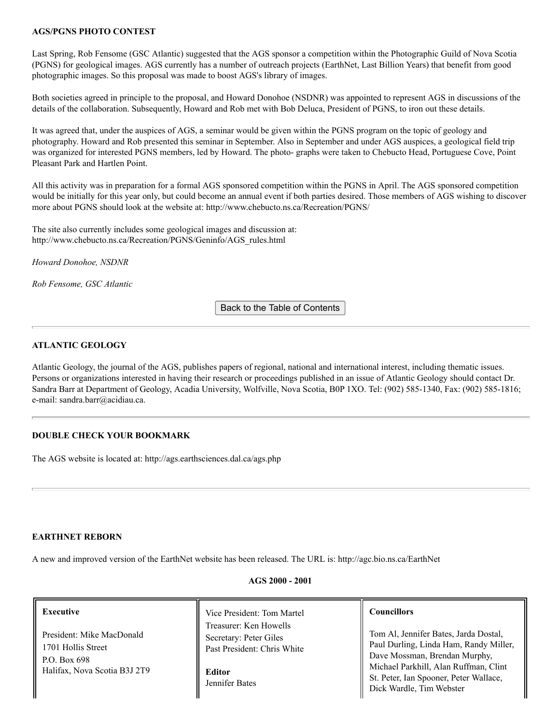# **AGS/PGNS PHOTO CONTEST**

Last Spring, Rob Fensome (GSC Atlantic) suggested that the AGS sponsor a competition within the Photographic Guild of Nova Scotia (PGNS) for geological images. AGS currently has a number of outreach projects (EarthNet, Last Billion Years) that benefit from good photographic images. So this proposal was made to boost AGS's library of images.

Both societies agreed in principle to the proposal, and Howard Donohoe (NSDNR) was appointed to represent AGS in discussions of the details of the collaboration. Subsequently, Howard and Rob met with Bob Deluca, President of PGNS, to iron out these details.

It was agreed that, under the auspices of AGS, a seminar would be given within the PGNS program on the topic of geology and photography. Howard and Rob presented this seminar in September. Also in September and under AGS auspices, a geological field trip was organized for interested PGNS members, led by Howard. The photo- graphs were taken to Chebucto Head, Portuguese Cove, Point Pleasant Park and Hartlen Point.

All this activity was in preparation for a formal AGS sponsored competition within the PGNS in April. The AGS sponsored competition would be initially for this year only, but could become an annual event if both parties desired. Those members of AGS wishing to discover more about PGNS should look at the website at: http://www.chebucto.ns.ca/Recreation/PGNS/

The site also currently includes some geological images and discussion at: http://www.chebucto.ns.ca/Recreation/PGNS/Geninfo/AGS\_rules.html

*Howard Donohoe, NSDNR*

*Rob Fensome, GSC Atlantic*

Back to the Table of Contents

# **ATLANTIC GEOLOGY**

Atlantic Geology, the journal of the AGS, publishes papers of regional, national and international interest, including thematic issues. Persons or organizations interested in having their research or proceedings published in an issue of Atlantic Geology should contact Dr. Sandra Barr at Department of Geology, Acadia University, Wolfville, Nova Scotia, B0P 1XO. Tel: (902) 585-1340, Fax: (902) 585-1816; e-mail: sandra.barr@acidiau.ca.

# **DOUBLE CHECK YOUR BOOKMARK**

The AGS website is located at: http://ags.earthsciences.dal.ca/ags.php

# **EARTHNET REBORN**

A new and improved version of the EarthNet website has been released. The URL is: http://agc.bio.ns.ca/EarthNet

#### **AGS 2000 - 2001**

#### **Executive**

President: Mike MacDonald 1701 Hollis Street P.O. Box 698 Halifax, Nova Scotia B3J 2T9

Vice President: Tom Martel Treasurer: Ken Howells Secretary: Peter Giles Past President: Chris White

**Editor** Jennifer Bates

#### **Councillors**

Tom Al, Jennifer Bates, Jarda Dostal, Paul Durling, Linda Ham, Randy Miller, Dave Mossman, Brendan Murphy, Michael Parkhill, Alan Ruffman, Clint St. Peter, Ian Spooner, Peter Wallace, Dick Wardle, Tim Webster